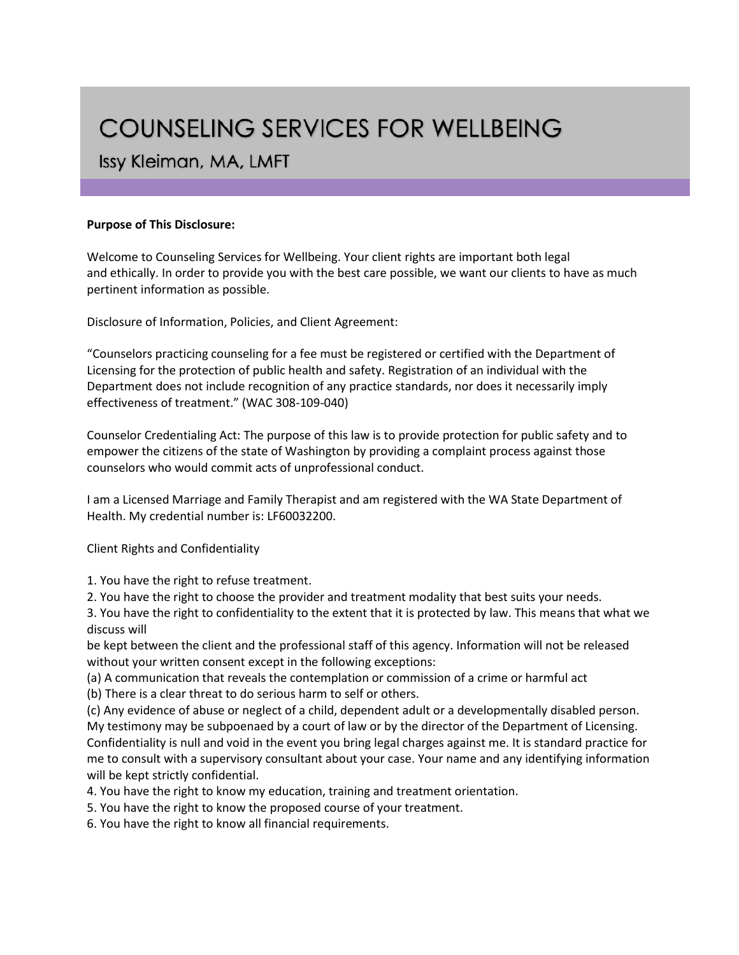# **COUNSELING SERVICES FOR WELLBEING**

Issy Kleiman, MA, LMFT

## **Purpose of This Disclosure:**

Welcome to Counseling Services for Wellbeing. Your client rights are important both legal and ethically. In order to provide you with the best care possible, we want our clients to have as much pertinent information as possible.

Disclosure of Information, Policies, and Client Agreement:

"Counselors practicing counseling for a fee must be registered or certified with the Department of Licensing for the protection of public health and safety. Registration of an individual with the Department does not include recognition of any practice standards, nor does it necessarily imply effectiveness of treatment." (WAC 308-109-040)

Counselor Credentialing Act: The purpose of this law is to provide protection for public safety and to empower the citizens of the state of Washington by providing a complaint process against those counselors who would commit acts of unprofessional conduct.

I am a Licensed Marriage and Family Therapist and am registered with the WA State Department of Health. My credential number is: LF60032200.

Client Rights and Confidentiality

1. You have the right to refuse treatment.

2. You have the right to choose the provider and treatment modality that best suits your needs.

3. You have the right to confidentiality to the extent that it is protected by law. This means that what we discuss will

be kept between the client and the professional staff of this agency. Information will not be released without your written consent except in the following exceptions:

(a) A communication that reveals the contemplation or commission of a crime or harmful act

(b) There is a clear threat to do serious harm to self or others.

(c) Any evidence of abuse or neglect of a child, dependent adult or a developmentally disabled person. My testimony may be subpoenaed by a court of law or by the director of the Department of Licensing. Confidentiality is null and void in the event you bring legal charges against me. It is standard practice for me to consult with a supervisory consultant about your case. Your name and any identifying information will be kept strictly confidential.

- 4. You have the right to know my education, training and treatment orientation.
- 5. You have the right to know the proposed course of your treatment.
- 6. You have the right to know all financial requirements.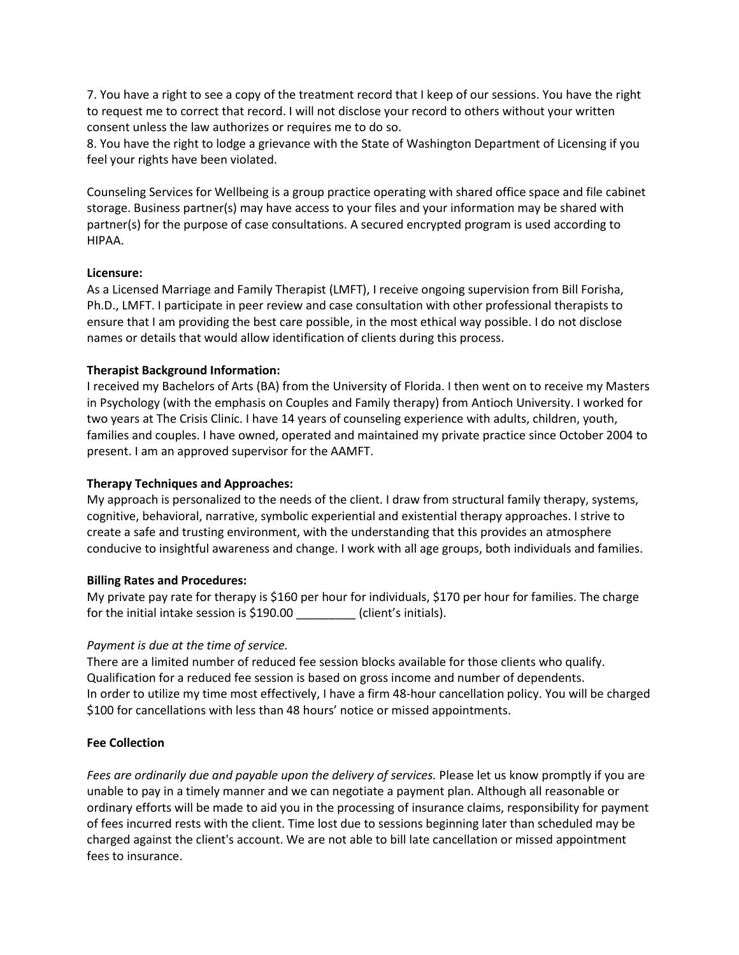7. You have a right to see a copy of the treatment record that I keep of our sessions. You have the right to request me to correct that record. I will not disclose your record to others without your written consent unless the law authorizes or requires me to do so.

8. You have the right to lodge a grievance with the State of Washington Department of Licensing if you feel your rights have been violated.

Counseling Services for Wellbeing is a group practice operating with shared office space and file cabinet storage. Business partner(s) may have access to your files and your information may be shared with partner(s) for the purpose of case consultations. A secured encrypted program is used according to HIPAA.

#### **Licensure:**

As a Licensed Marriage and Family Therapist (LMFT), I receive ongoing supervision from Bill Forisha, Ph.D., LMFT. I participate in peer review and case consultation with other professional therapists to ensure that I am providing the best care possible, in the most ethical way possible. I do not disclose names or details that would allow identification of clients during this process.

## **Therapist Background Information:**

I received my Bachelors of Arts (BA) from the University of Florida. I then went on to receive my Masters in Psychology (with the emphasis on Couples and Family therapy) from Antioch University. I worked for two years at The Crisis Clinic. I have 14 years of counseling experience with adults, children, youth, families and couples. I have owned, operated and maintained my private practice since October 2004 to present. I am an approved supervisor for the AAMFT.

## **Therapy Techniques and Approaches:**

My approach is personalized to the needs of the client. I draw from structural family therapy, systems, cognitive, behavioral, narrative, symbolic experiential and existential therapy approaches. I strive to create a safe and trusting environment, with the understanding that this provides an atmosphere conducive to insightful awareness and change. I work with all age groups, both individuals and families.

#### **Billing Rates and Procedures:**

My private pay rate for therapy is \$160 per hour for individuals, \$170 per hour for families. The charge for the initial intake session is \$190.00 \_\_\_\_\_\_\_\_\_ (client's initials).

# *Payment is due at the time of service.*

There are a limited number of reduced fee session blocks available for those clients who qualify. Qualification for a reduced fee session is based on gross income and number of dependents. In order to utilize my time most effectively, I have a firm 48-hour cancellation policy. You will be charged \$100 for cancellations with less than 48 hours' notice or missed appointments.

#### **Fee Collection**

*Fees are ordinarily due and payable upon the delivery of services.* Please let us know promptly if you are unable to pay in a timely manner and we can negotiate a payment plan. Although all reasonable or ordinary efforts will be made to aid you in the processing of insurance claims, responsibility for payment of fees incurred rests with the client. Time lost due to sessions beginning later than scheduled may be charged against the client's account. We are not able to bill late cancellation or missed appointment fees to insurance.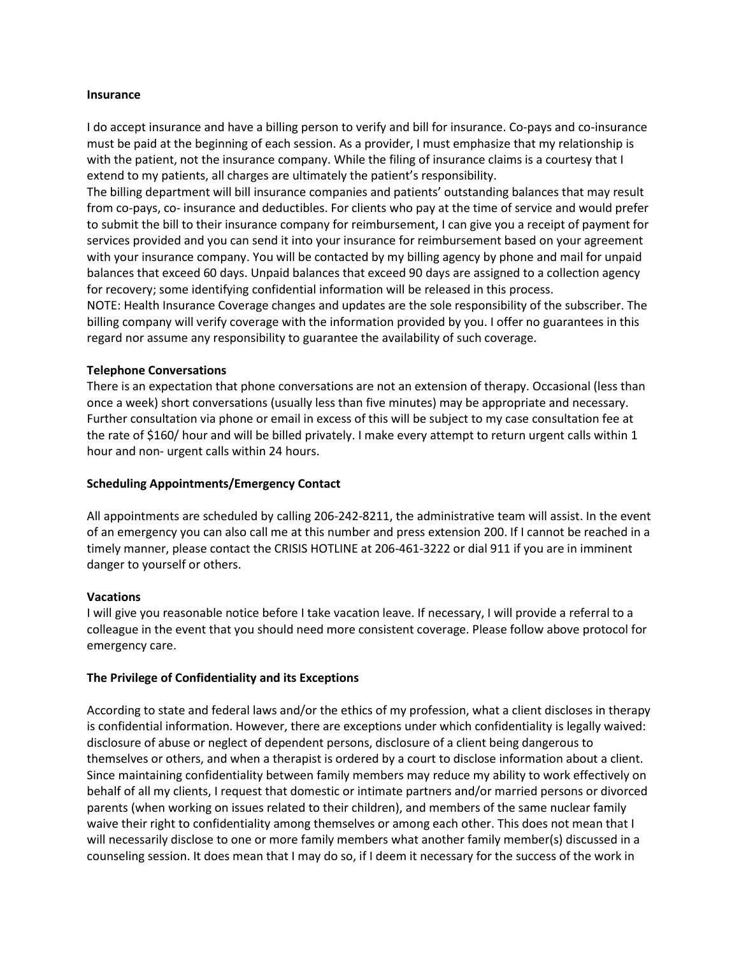#### **Insurance**

I do accept insurance and have a billing person to verify and bill for insurance. Co-pays and co-insurance must be paid at the beginning of each session. As a provider, I must emphasize that my relationship is with the patient, not the insurance company. While the filing of insurance claims is a courtesy that I extend to my patients, all charges are ultimately the patient's responsibility.

The billing department will bill insurance companies and patients' outstanding balances that may result from co-pays, co- insurance and deductibles. For clients who pay at the time of service and would prefer to submit the bill to their insurance company for reimbursement, I can give you a receipt of payment for services provided and you can send it into your insurance for reimbursement based on your agreement with your insurance company. You will be contacted by my billing agency by phone and mail for unpaid balances that exceed 60 days. Unpaid balances that exceed 90 days are assigned to a collection agency for recovery; some identifying confidential information will be released in this process.

NOTE: Health Insurance Coverage changes and updates are the sole responsibility of the subscriber. The billing company will verify coverage with the information provided by you. I offer no guarantees in this regard nor assume any responsibility to guarantee the availability of such coverage.

#### **Telephone Conversations**

There is an expectation that phone conversations are not an extension of therapy. Occasional (less than once a week) short conversations (usually less than five minutes) may be appropriate and necessary. Further consultation via phone or email in excess of this will be subject to my case consultation fee at the rate of \$160/ hour and will be billed privately. I make every attempt to return urgent calls within 1 hour and non- urgent calls within 24 hours.

#### **Scheduling Appointments/Emergency Contact**

All appointments are scheduled by calling 206-242-8211, the administrative team will assist. In the event of an emergency you can also call me at this number and press extension 200. If I cannot be reached in a timely manner, please contact the CRISIS HOTLINE at 206-461-3222 or dial 911 if you are in imminent danger to yourself or others.

#### **Vacations**

I will give you reasonable notice before I take vacation leave. If necessary, I will provide a referral to a colleague in the event that you should need more consistent coverage. Please follow above protocol for emergency care.

#### **The Privilege of Confidentiality and its Exceptions**

According to state and federal laws and/or the ethics of my profession, what a client discloses in therapy is confidential information. However, there are exceptions under which confidentiality is legally waived: disclosure of abuse or neglect of dependent persons, disclosure of a client being dangerous to themselves or others, and when a therapist is ordered by a court to disclose information about a client. Since maintaining confidentiality between family members may reduce my ability to work effectively on behalf of all my clients, I request that domestic or intimate partners and/or married persons or divorced parents (when working on issues related to their children), and members of the same nuclear family waive their right to confidentiality among themselves or among each other. This does not mean that I will necessarily disclose to one or more family members what another family member(s) discussed in a counseling session. It does mean that I may do so, if I deem it necessary for the success of the work in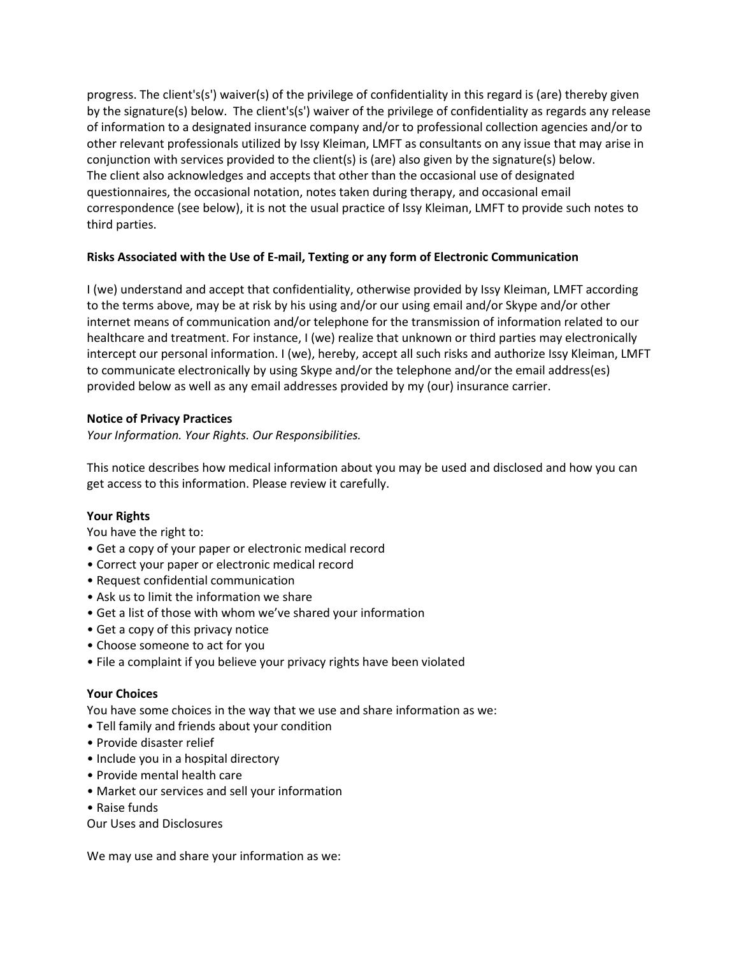progress. The client's(s') waiver(s) of the privilege of confidentiality in this regard is (are) thereby given by the signature(s) below. The client's(s') waiver of the privilege of confidentiality as regards any release of information to a designated insurance company and/or to professional collection agencies and/or to other relevant professionals utilized by Issy Kleiman, LMFT as consultants on any issue that may arise in conjunction with services provided to the client(s) is (are) also given by the signature(s) below. The client also acknowledges and accepts that other than the occasional use of designated questionnaires, the occasional notation, notes taken during therapy, and occasional email correspondence (see below), it is not the usual practice of Issy Kleiman, LMFT to provide such notes to third parties.

## **Risks Associated with the Use of E-mail, Texting or any form of Electronic Communication**

I (we) understand and accept that confidentiality, otherwise provided by Issy Kleiman, LMFT according to the terms above, may be at risk by his using and/or our using email and/or Skype and/or other internet means of communication and/or telephone for the transmission of information related to our healthcare and treatment. For instance, I (we) realize that unknown or third parties may electronically intercept our personal information. I (we), hereby, accept all such risks and authorize Issy Kleiman, LMFT to communicate electronically by using Skype and/or the telephone and/or the email address(es) provided below as well as any email addresses provided by my (our) insurance carrier.

## **Notice of Privacy Practices**

*Your Information. Your Rights. Our Responsibilities.*

This notice describes how medical information about you may be used and disclosed and how you can get access to this information. Please review it carefully.

#### **Your Rights**

You have the right to:

- Get a copy of your paper or electronic medical record
- Correct your paper or electronic medical record
- Request confidential communication
- Ask us to limit the information we share
- Get a list of those with whom we've shared your information
- Get a copy of this privacy notice
- Choose someone to act for you
- File a complaint if you believe your privacy rights have been violated

#### **Your Choices**

You have some choices in the way that we use and share information as we:

- Tell family and friends about your condition
- Provide disaster relief
- Include you in a hospital directory
- Provide mental health care
- Market our services and sell your information
- Raise funds

Our Uses and Disclosures

We may use and share your information as we: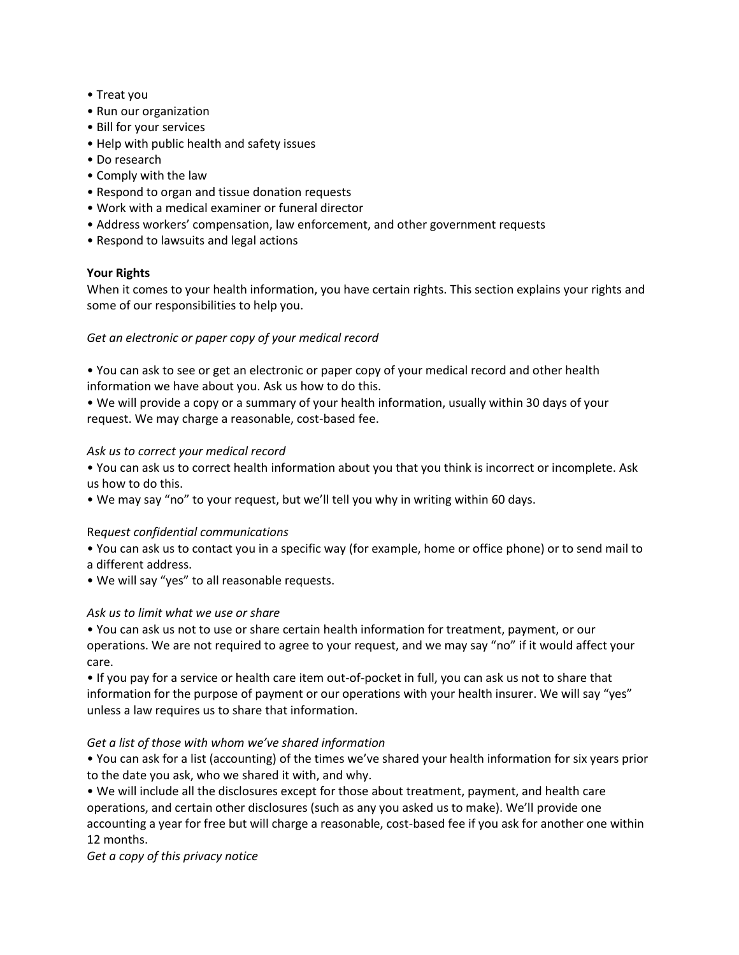- Treat you
- Run our organization
- Bill for your services
- Help with public health and safety issues
- Do research
- Comply with the law
- Respond to organ and tissue donation requests
- Work with a medical examiner or funeral director
- Address workers' compensation, law enforcement, and other government requests
- Respond to lawsuits and legal actions

## **Your Rights**

When it comes to your health information, you have certain rights. This section explains your rights and some of our responsibilities to help you.

#### *Get an electronic or paper copy of your medical record*

• You can ask to see or get an electronic or paper copy of your medical record and other health information we have about you. Ask us how to do this.

• We will provide a copy or a summary of your health information, usually within 30 days of your request. We may charge a reasonable, cost-based fee.

## *Ask us to correct your medical record*

• You can ask us to correct health information about you that you think is incorrect or incomplete. Ask us how to do this.

• We may say "no" to your request, but we'll tell you why in writing within 60 days.

#### Re*quest confidential communications*

• You can ask us to contact you in a specific way (for example, home or office phone) or to send mail to a different address.

• We will say "yes" to all reasonable requests.

# *Ask us to limit what we use or share*

• You can ask us not to use or share certain health information for treatment, payment, or our operations. We are not required to agree to your request, and we may say "no" if it would affect your care.

• If you pay for a service or health care item out-of-pocket in full, you can ask us not to share that information for the purpose of payment or our operations with your health insurer. We will say "yes" unless a law requires us to share that information.

# *Get a list of those with whom we've shared information*

• You can ask for a list (accounting) of the times we've shared your health information for six years prior to the date you ask, who we shared it with, and why.

• We will include all the disclosures except for those about treatment, payment, and health care operations, and certain other disclosures (such as any you asked us to make). We'll provide one accounting a year for free but will charge a reasonable, cost-based fee if you ask for another one within 12 months.

*Get a copy of this privacy notice*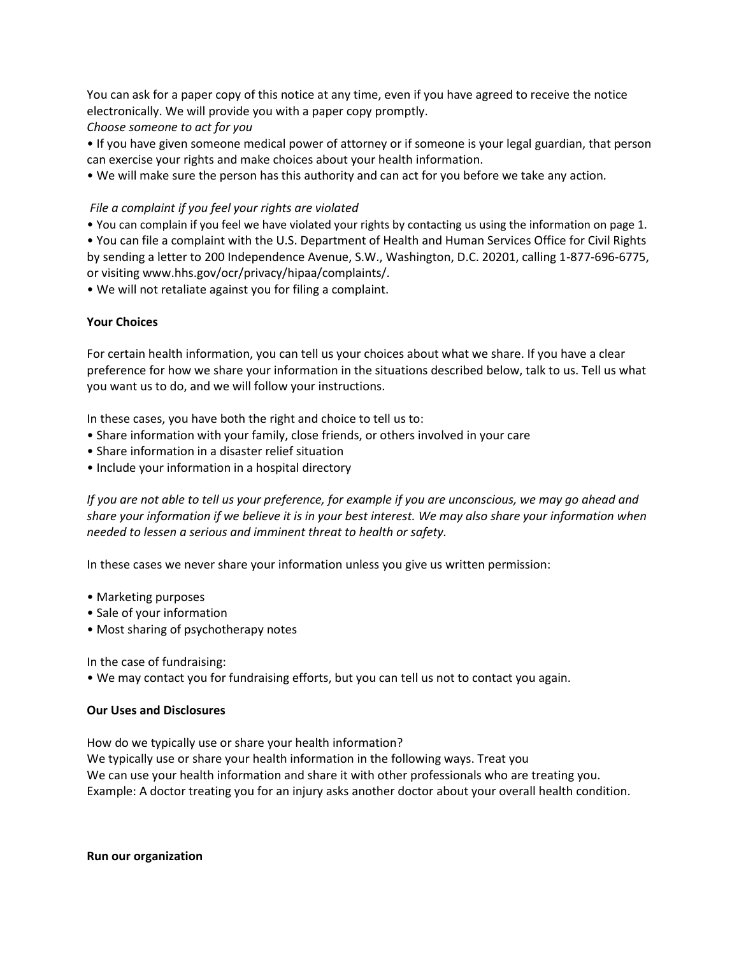You can ask for a paper copy of this notice at any time, even if you have agreed to receive the notice electronically. We will provide you with a paper copy promptly.

## *Choose someone to act for you*

• If you have given someone medical power of attorney or if someone is your legal guardian, that person can exercise your rights and make choices about your health information.

• We will make sure the person has this authority and can act for you before we take any action*.*

## *File a complaint if you feel your rights are violated*

• You can complain if you feel we have violated your rights by contacting us using the information on page 1. • You can file a complaint with the U.S. Department of Health and Human Services Office for Civil Rights by sending a letter to 200 Independence Avenue, S.W., Washington, D.C. 20201, calling 1-877-696-6775, or visiting www.hhs.gov/ocr/privacy/hipaa/complaints/.

• We will not retaliate against you for filing a complaint.

## **Your Choices**

For certain health information, you can tell us your choices about what we share. If you have a clear preference for how we share your information in the situations described below, talk to us. Tell us what you want us to do, and we will follow your instructions.

In these cases, you have both the right and choice to tell us to:

- Share information with your family, close friends, or others involved in your care
- Share information in a disaster relief situation
- Include your information in a hospital directory

*If you are not able to tell us your preference, for example if you are unconscious, we may go ahead and share your information if we believe it is in your best interest. We may also share your information when needed to lessen a serious and imminent threat to health or safety.*

In these cases we never share your information unless you give us written permission:

- Marketing purposes
- Sale of your information
- Most sharing of psychotherapy notes

In the case of fundraising:

• We may contact you for fundraising efforts, but you can tell us not to contact you again.

#### **Our Uses and Disclosures**

How do we typically use or share your health information?

We typically use or share your health information in the following ways. Treat you We can use your health information and share it with other professionals who are treating you. Example: A doctor treating you for an injury asks another doctor about your overall health condition.

**Run our organization**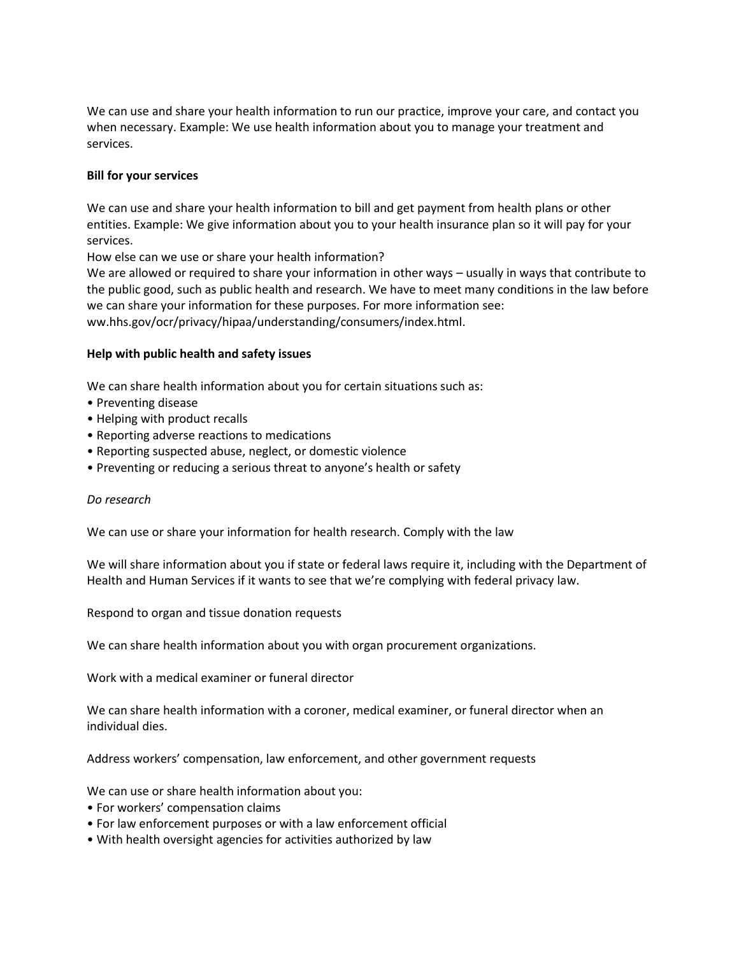We can use and share your health information to run our practice, improve your care, and contact you when necessary. Example: We use health information about you to manage your treatment and services.

# **Bill for your services**

We can use and share your health information to bill and get payment from health plans or other entities. Example: We give information about you to your health insurance plan so it will pay for your services.

How else can we use or share your health information?

We are allowed or required to share your information in other ways – usually in ways that contribute to the public good, such as public health and research. We have to meet many conditions in the law before we can share your information for these purposes. For more information see: ww.hhs.gov/ocr/privacy/hipaa/understanding/consumers/index.html.

#### **Help with public health and safety issues**

We can share health information about you for certain situations such as:

- Preventing disease
- Helping with product recalls
- Reporting adverse reactions to medications
- Reporting suspected abuse, neglect, or domestic violence
- Preventing or reducing a serious threat to anyone's health or safety

#### *Do research*

We can use or share your information for health research. Comply with the law

We will share information about you if state or federal laws require it, including with the Department of Health and Human Services if it wants to see that we're complying with federal privacy law.

Respond to organ and tissue donation requests

We can share health information about you with organ procurement organizations.

Work with a medical examiner or funeral director

We can share health information with a coroner, medical examiner, or funeral director when an individual dies.

Address workers' compensation, law enforcement, and other government requests

We can use or share health information about you:

- For workers' compensation claims
- For law enforcement purposes or with a law enforcement official
- With health oversight agencies for activities authorized by law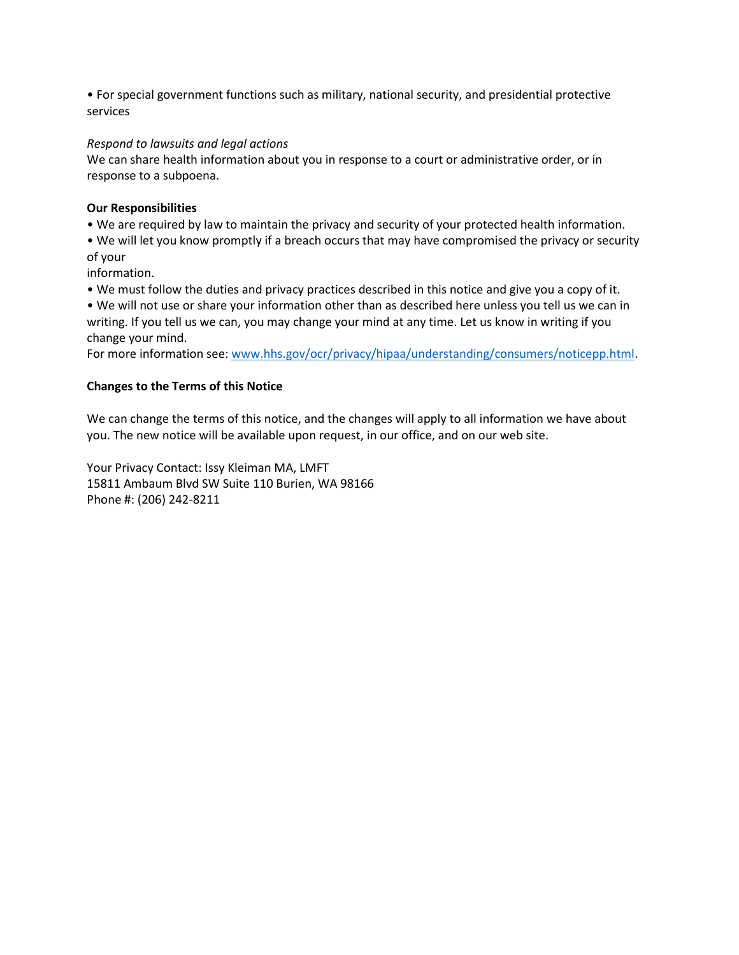• For special government functions such as military, national security, and presidential protective services

### *Respond to lawsuits and legal actions*

We can share health information about you in response to a court or administrative order, or in response to a subpoena.

## **Our Responsibilities**

• We are required by law to maintain the privacy and security of your protected health information.

• We will let you know promptly if a breach occurs that may have compromised the privacy or security of your

information.

• We must follow the duties and privacy practices described in this notice and give you a copy of it.

• We will not use or share your information other than as described here unless you tell us we can in writing. If you tell us we can, you may change your mind at any time. Let us know in writing if you change your mind.

For more information see: [www.hhs.gov/ocr/privacy/hipaa/understanding/consumers/noticepp.html.](http://www.hhs.gov/ocr/privacy/hipaa/understanding/consumers/noticepp.html)

# **Changes to the Terms of this Notice**

We can change the terms of this notice, and the changes will apply to all information we have about you. The new notice will be available upon request, in our office, and on our web site.

Your Privacy Contact: Issy Kleiman MA, LMFT 15811 Ambaum Blvd SW Suite 110 Burien, WA 98166 Phone #: (206) 242-8211